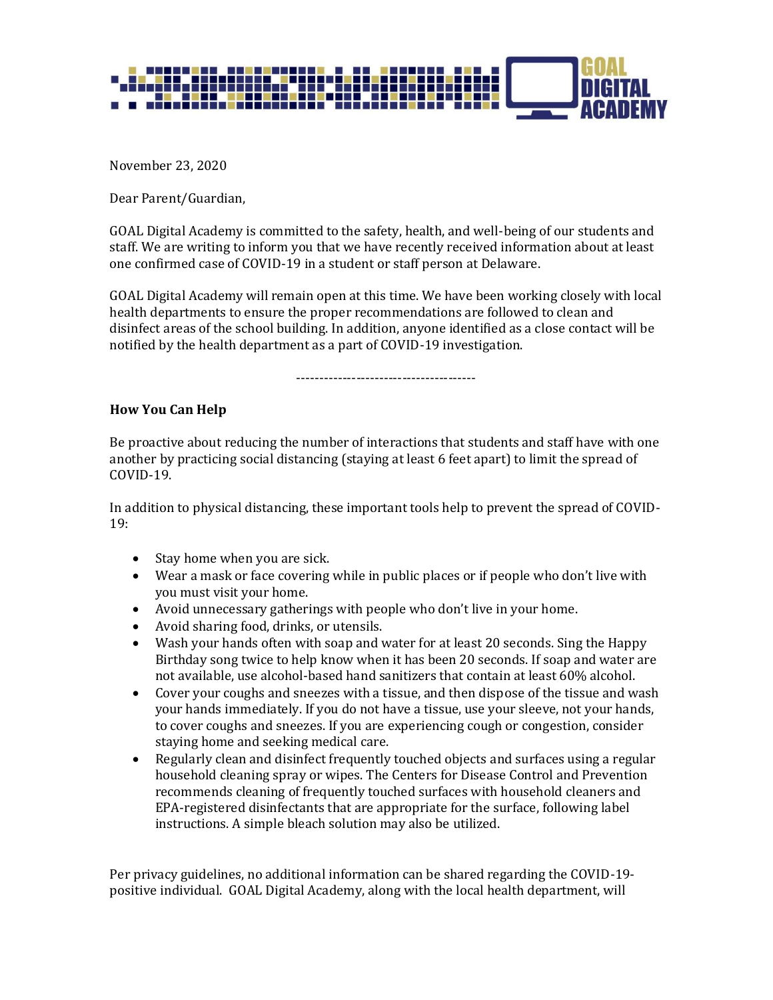

November 23, 2020

Dear Parent/Guardian,

GOAL Digital Academy is committed to the safety, health, and well-being of our students and staff. We are writing to inform you that we have recently received information about at least one confirmed case of COVID-19 in a student or staff person at Delaware.

GOAL Digital Academy will remain open at this time. We have been working closely with local health departments to ensure the proper recommendations are followed to clean and disinfect areas of the school building. In addition, anyone identified as a close contact will be notified by the health department as a part of COVID-19 investigation.

---------------------------------------

## **How You Can Help**

Be proactive about reducing the number of interactions that students and staff have with one another by practicing social distancing (staying at least 6 feet apart) to limit the spread of COVID-19.

In addition to physical distancing, these important tools help to prevent the spread of COVID-19:

- Stay home when you are sick.
- Wear a mask or face covering while in public places or if people who don't live with you must visit your home.
- Avoid unnecessary gatherings with people who don't live in your home.
- Avoid sharing food, drinks, or utensils.
- Wash your hands often with soap and water for at least 20 seconds. Sing the Happy Birthday song twice to help know when it has been 20 seconds. If soap and water are not available, use alcohol-based hand sanitizers that contain at least 60% alcohol.
- Cover your coughs and sneezes with a tissue, and then dispose of the tissue and wash your hands immediately. If you do not have a tissue, use your sleeve, not your hands, to cover coughs and sneezes. If you are experiencing cough or congestion, consider staying home and seeking medical care.
- Regularly clean and disinfect frequently touched objects and surfaces using a regular household cleaning spray or wipes. The Centers for Disease Control and Prevention recommends cleaning of frequently touched surfaces with household cleaners and EPA-registered disinfectants that are appropriate for the surface, following label instructions. A simple bleach solution may also be utilized.

Per privacy guidelines, no additional information can be shared regarding the COVID-19 positive individual. GOAL Digital Academy, along with the local health department, will